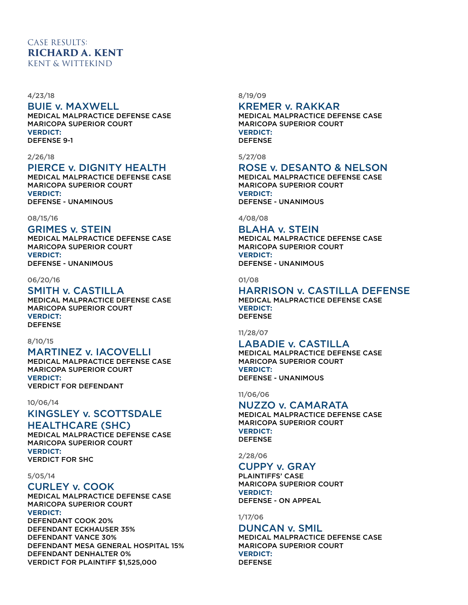## CASE RESULTS: **RICHARD A. KENT** KENT & WITTEKIND

#### 4/23/18

### BUIE v. MAXWELL

MEDICAL MALPRACTICE DEFENSE CASE MARICOPA SUPERIOR COURT **VERDICT:** DEFENSE 9-1

#### 2/26/18

## PIERCE v. DIGNITY HEALTH

MEDICAL MALPRACTICE DEFENSE CASE MARICOPA SUPERIOR COURT **VERDICT:** DEFENSE - UNAMINOUS

#### 08/15/16

## GRIMES v. STEIN

MEDICAL MALPRACTICE DEFENSE CASE MARICOPA SUPERIOR COURT **VERDICT:** DEFENSE - UNANIMOUS

#### 06/20/16

#### SMITH v. CASTILLA MEDICAL MALPRACTICE DEFENSE CASE MARICOPA SUPERIOR COURT **VERDICT:** DEFENSE

# 8/10/15

## MARTINEZ v. IACOVELLI

MEDICAL MALPRACTICE DEFENSE CASE MARICOPA SUPERIOR COURT **VERDICT:** VERDICT FOR DEFENDANT

#### 10/06/14

## KINGSLEY v. SCOTTSDALE

## HEALTHCARE (SHC)

MEDICAL MALPRACTICE DEFENSE CASE MARICOPA SUPERIOR COURT **VERDICT:** VERDICT FOR SHC

#### 5/05/14

## CURLEY v. COOK

MEDICAL MALPRACTICE DEFENSE CASE MARICOPA SUPERIOR COURT **VERDICT:** DEFENDANT COOK 20% DEFENDANT ECKHAUSER 35% DEFENDANT VANCE 30% DEFENDANT MESA GENERAL HOSPITAL 15% DEFENDANT DENHALTER 0% VERDICT FOR PLAINTIFF \$1,525,000

8/19/09

### KREMER v. RAKKAR

MEDICAL MALPRACTICE DEFENSE CASE MARICOPA SUPERIOR COURT **VERDICT:** DEFENSE

5/27/08

## ROSE v. DESANTO & NELSON

MEDICAL MALPRACTICE DEFENSE CASE MARICOPA SUPERIOR COURT **VERDICT:** DEFENSE - UNANIMOUS

4/08/08

## BLAHA v. STEIN

MEDICAL MALPRACTICE DEFENSE CASE MARICOPA SUPERIOR COURT **VERDICT:** DEFENSE - UNANIMOUS

01/08

#### HARRISON v. CASTILLA DEFENSE MEDICAL MALPRACTICE DEFENSE CASE **VERDICT:** DEFENSE

11/28/07

## LABADIE v. CASTILLA

MEDICAL MALPRACTICE DEFENSE CASE MARICOPA SUPERIOR COURT **VERDICT:** DEFENSE - UNANIMOUS

11/06/06

### NUZZO v. CAMARATA

MEDICAL MALPRACTICE DEFENSE CASE MARICOPA SUPERIOR COURT **VERDICT:** DEFENSE

2/28/06

## CUPPY v. GRAY

PLAINTIFFS' CASE MARICOPA SUPERIOR COURT **VERDICT:** DEFENSE - ON APPEAL

1/17/06

### DUNCAN v. SMIL

MEDICAL MALPRACTICE DEFENSE CASE MARICOPA SUPERIOR COURT **VERDICT:** DEFENSE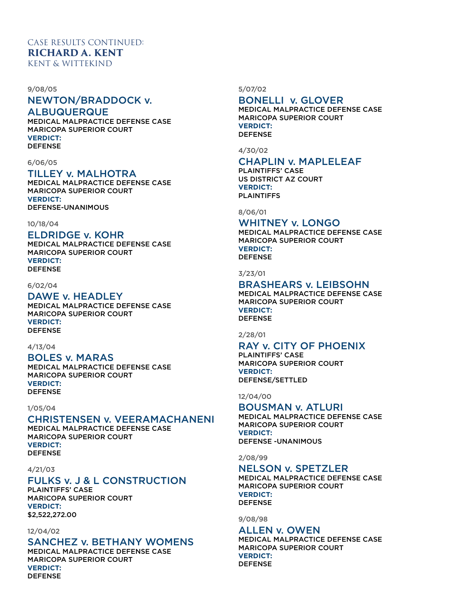#### 9/08/05

## NEWTON/BRADDOCK v.

ALBUQUERQUE

MEDICAL MALPRACTICE DEFENSE CASE MARICOPA SUPERIOR COURT **VERDICT:** DEFENSE

#### 6/06/05

## TILLEY v. MALHOTRA

MEDICAL MALPRACTICE DEFENSE CASE MARICOPA SUPERIOR COURT **VERDICT:** DEFENSE-UNANIMOUS

10/18/04

## ELDRIDGE v. KOHR

MEDICAL MALPRACTICE DEFENSE CASE MARICOPA SUPERIOR COURT **VERDICT:** DEFENSE

#### 6/02/04

### DAWE v. HEADLEY

MEDICAL MALPRACTICE DEFENSE CASE MARICOPA SUPERIOR COURT **VERDICT:** DEFENSE

#### 4/13/04

#### BOLES v. MARAS

MEDICAL MALPRACTICE DEFENSE CASE MARICOPA SUPERIOR COURT **VERDICT:** DEFENSE

### 1/05/04

## CHRISTENSEN v. VEERAMACHANENI

MEDICAL MALPRACTICE DEFENSE CASE MARICOPA SUPERIOR COURT **VERDICT:** DEFENSE

#### 4/21/03

## FULKS v. J & L CONSTRUCTION

PLAINTIFFS' CASE MARICOPA SUPERIOR COURT **VERDICT:** \$2,522,272.00

#### 12/04/02

### SANCHEZ v. BETHANY WOMENS

MEDICAL MALPRACTICE DEFENSE CASE MARICOPA SUPERIOR COURT **VERDICT:** DEFENSE

5/07/02

### BONELLI v. GLOVER

MEDICAL MALPRACTICE DEFENSE CASE MARICOPA SUPERIOR COURT **VERDICT:** DEFENSE

4/30/02

## CHAPLIN v. MAPLELEAF

PLAINTIFFS' CASE US DISTRICT AZ COURT **VERDICT:** PLAINTIFFS

8/06/01

## WHITNEY v. LONGO

MEDICAL MALPRACTICE DEFENSE CASE MARICOPA SUPERIOR COURT **VERDICT:** DEFENSE

3/23/01

## BRASHEARS v. LEIBSOHN

MEDICAL MALPRACTICE DEFENSE CASE MARICOPA SUPERIOR COURT **VERDICT:** DEFENSE

2/28/01

## RAY v. CITY OF PHOENIX

PLAINTIFFS' CASE MARICOPA SUPERIOR COURT **VERDICT:** DEFENSE/SETTLED

12/04/00

### BOUSMAN v. ATLURI

MEDICAL MALPRACTICE DEFENSE CASE MARICOPA SUPERIOR COURT **VERDICT:** DEFENSE -UNANIMOUS

2/08/99

## NELSON v. SPETZLER

MEDICAL MALPRACTICE DEFENSE CASE MARICOPA SUPERIOR COURT **VERDICT:** DEFENSE

9/08/98

#### ALLEN v. OWEN

MEDICAL MALPRACTICE DEFENSE CASE MARICOPA SUPERIOR COURT **VERDICT:** DEFENSE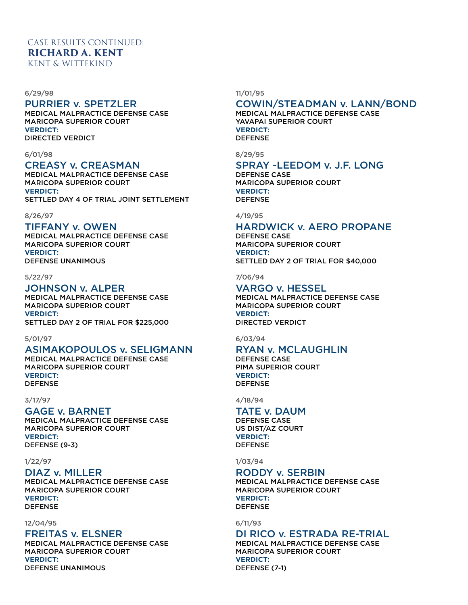#### 6/29/98

## PURRIER v. SPETZLER

MEDICAL MALPRACTICE DEFENSE CASE MARICOPA SUPERIOR COURT **VERDICT:** DIRECTED VERDICT

#### 6/01/98

## CREASY v. CREASMAN

MEDICAL MALPRACTICE DEFENSE CASE MARICOPA SUPERIOR COURT **VERDICT:** SETTLED DAY 4 OF TRIAL JOINT SETTLEMENT

#### 8/26/97

### TIFFANY v. OWEN

MEDICAL MALPRACTICE DEFENSE CASE MARICOPA SUPERIOR COURT **VERDICT:** DEFENSE UNANIMOUS

#### 5/22/97

### JOHNSON v. ALPER

MEDICAL MALPRACTICE DEFENSE CASE MARICOPA SUPERIOR COURT **VERDICT:** SETTLED DAY 2 OF TRIAL FOR \$225,000

#### 5/01/97

## ASIMAKOPOULOS v. SELIGMANN

MEDICAL MALPRACTICE DEFENSE CASE MARICOPA SUPERIOR COURT **VERDICT:** DEFENSE

### 3/17/97

### GAGE v. BARNET

MEDICAL MALPRACTICE DEFENSE CASE MARICOPA SUPERIOR COURT **VERDICT:** DEFENSE (9-3)

#### 1/22/97

### DIAZ v. MILLER

MEDICAL MALPRACTICE DEFENSE CASE MARICOPA SUPERIOR COURT **VERDICT:** DEFENSE

#### 12/04/95

### FREITAS v. ELSNER

MEDICAL MALPRACTICE DEFENSE CASE MARICOPA SUPERIOR COURT **VERDICT:** DEFENSE UNANIMOUS

#### 11/01/95

# COWIN/STEADMAN v. LANN/BOND

MEDICAL MALPRACTICE DEFENSE CASE YAVAPAI SUPERIOR COURT **VERDICT:** DEFENSE

8/29/95

## SPRAY -LEEDOM v. J.F. LONG

DEFENSE CASE MARICOPA SUPERIOR COURT **VERDICT:** DEFENSE

#### 4/19/95

## HARDWICK v. AERO PROPANE

DEFENSE CASE MARICOPA SUPERIOR COURT **VERDICT:** SETTLED DAY 2 OF TRIAL FOR \$40,000

### 7/06/94

### VARGO v. HESSEL

MEDICAL MALPRACTICE DEFENSE CASE MARICOPA SUPERIOR COURT **VERDICT:** DIRECTED VERDICT

6/03/94

## RYAN v. MCLAUGHLIN

DEFENSE CASE PIMA SUPERIOR COURT **VERDICT:** DEFENSE

4/18/94

## TATE v. DAUM

DEFENSE CASE US DIST/AZ COURT **VERDICT:** DEFENSE

1/03/94

## RODDY v. SERBIN

MEDICAL MALPRACTICE DEFENSE CASE MARICOPA SUPERIOR COURT **VERDICT:** DEFENSE

6/11/93

## DI RICO v. ESTRADA RE-TRIAL

MEDICAL MALPRACTICE DEFENSE CASE MARICOPA SUPERIOR COURT **VERDICT:** DEFENSE (7-1)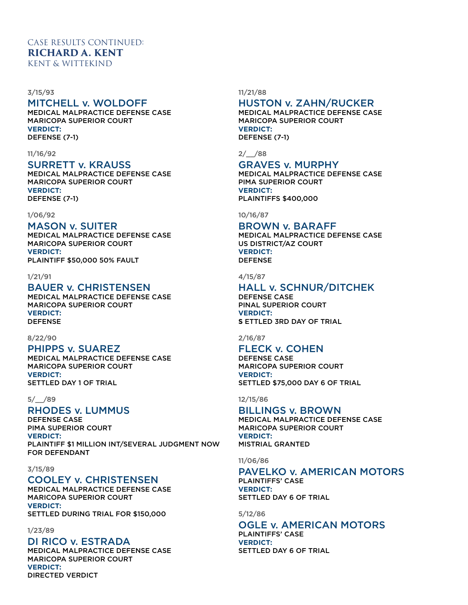#### 3/15/93

## MITCHELL v. WOLDOFF

MEDICAL MALPRACTICE DEFENSE CASE MARICOPA SUPERIOR COURT **VERDICT:** DEFENSE (7-1)

#### 11/16/92

## SURRETT v. KRAUSS

MEDICAL MALPRACTICE DEFENSE CASE MARICOPA SUPERIOR COURT **VERDICT:** DEFENSE (7-1)

#### 1/06/92

#### MASON v. SUITER

MEDICAL MALPRACTICE DEFENSE CASE MARICOPA SUPERIOR COURT **VERDICT:** PLAINTIFF \$50,000 50% FAULT

### 1/21/91

## BAUER v. CHRISTENSEN

MEDICAL MALPRACTICE DEFENSE CASE MARICOPA SUPERIOR COURT **VERDICT:** DEFENSE

## 8/22/90

## PHIPPS v. SUAREZ

MEDICAL MALPRACTICE DEFENSE CASE MARICOPA SUPERIOR COURT **VERDICT:** SETTLED DAY 1 OF TRIAL

#### 5/\_\_/89

## RHODES v. LUMMUS

DEFENSE CASE PIMA SUPERIOR COURT **VERDICT:** PLAINTIFF \$1 MILLION INT/SEVERAL JUDGMENT NOW FOR DEFENDANT

#### 3/15/89

## COOLEY v. CHRISTENSEN

MEDICAL MALPRACTICE DEFENSE CASE MARICOPA SUPERIOR COURT **VERDICT:** SETTLED DURING TRIAL FOR \$150,000

### 1/23/89

## DI RICO v. ESTRADA

MEDICAL MALPRACTICE DEFENSE CASE MARICOPA SUPERIOR COURT **VERDICT:** DIRECTED VERDICT

#### 11/21/88

## HUSTON v. ZAHN/RUCKER

MEDICAL MALPRACTICE DEFENSE CASE MARICOPA SUPERIOR COURT **VERDICT:** DEFENSE (7-1)

### $2/\angle$ /88

### GRAVES v. MURPHY

MEDICAL MALPRACTICE DEFENSE CASE PIMA SUPERIOR COURT **VERDICT:**

PLAINTIFFS \$400,000

#### 10/16/87

### BROWN v. BARAFF

MEDICAL MALPRACTICE DEFENSE CASE US DISTRICT/AZ COURT **VERDICT:** DEFENSE

### 4/15/87

### HALL v. SCHNUR/DITCHEK

DEFENSE CASE PINAL SUPERIOR COURT **VERDICT: S** ETTLED 3RD DAY OF TRIAL

#### 2/16/87

## FLECK v. COHEN

DEFENSE CASE MARICOPA SUPERIOR COURT **VERDICT:** SETTLED \$75,000 DAY 6 OF TRIAL

#### 12/15/86

BILLINGS v. BROWN MEDICAL MALPRACTICE DEFENSE CASE MARICOPA SUPERIOR COURT **VERDICT:** MISTRIAL GRANTED

#### 11/06/86

### PAVELKO v. AMERICAN MOTORS

PLAINTIFFS' CASE **VERDICT:** SETTLED DAY 6 OF TRIAL

### 5/12/86

## OGLE v. AMERICAN MOTORS PLAINTIFFS' CASE **VERDICT:** SETTLED DAY 6 OF TRIAL